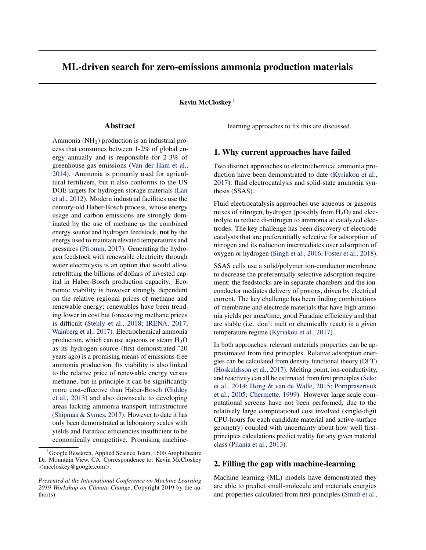# ML-driven search for zero-emissions ammonia production materials

Kevin McCloskey<sup>1</sup>

## Abstract

Ammonia ( $NH<sub>3</sub>$ ) production is an industrial process that consumes between 1-2% of global energy annually and is responsible for 2-3% of greenhouse gas emissions [\(Van der Ham et al.,](#page-2-0) [2014\)](#page-2-0). Ammonia is primarily used for agricultural fertilizers, but it also conforms to the US DOE targets for hydrogen storage materials [\(Lan](#page-2-0) [et al.,](#page-2-0) [2012\)](#page-2-0). Modern industrial facilities use the century-old Haber-Bosch process, whose energy usage and carbon emissions are strongly dominated by the use of methane as the combined energy source and hydrogen feedstock, not by the energy used to maintain elevated temperatures and pressures [\(Pfromm,](#page-2-0) [2017\)](#page-2-0). Generating the hydrogen feedstock with renewable electricity through water electrolysis is an option that would allow retrofitting the billions of dollars of invested capital in Haber-Bosch production capacity. Economic viability is however strongly dependent on the relative regional prices of methane and renewable energy; renewables have been trending lower in cost but forecasting methane prices is difficult [\(Stehly et al.,](#page-2-0) [2018;](#page-2-0) [IRENA,](#page-1-0) [2017;](#page-1-0) [Wainberg et al.,](#page-2-0) [2017\)](#page-2-0). Electrochemical ammonia production, which can use aqueous or steam  $H_2O$ as its hydrogen source (first demonstrated ˜20 years ago) is a promising means of emissions-free ammonia production. Its viability is also linked to the relative price of renewable energy versus methane, but in principle it can be significantly more cost-effective than Haber-Bosch [\(Giddey](#page-1-0) [et al.,](#page-1-0) [2013\)](#page-1-0) and also downscale to developing areas lacking ammonia transport infrastructure [\(Shipman & Symes,](#page-2-0) [2017\)](#page-2-0). However to date it has only been demonstrated at laboratory scales with yields and Faradaic efficiencies insufficient to be economically competitive. Promising machinelearning approaches to fix this are discussed.

#### 1. Why current approaches have failed

Two distinct approaches to electrochemical ammonia production have been demonstrated to date [\(Kyriakou et al.,](#page-2-0) [2017\)](#page-2-0): fluid electrocatalysis and solid-state ammonia synthesis (SSAS).

Fluid electrocatalysis approaches use aqueous or gaseous mixes of nitrogen, hydrogen (possibly from  $H_2O$ ) and electrolyte to reduce di-nitrogen to ammonia at catalyzed electrodes. The key challenge has been discovery of electrode catalysts that are preferentially selective for adsorption of nitrogen and its reduction intermediates over adsorption of oxygen or hydrogen [\(Singh et al.,](#page-2-0) [2016;](#page-2-0) [Foster et al.,](#page-1-0) [2018\)](#page-1-0).

SSAS cells use a solid/polymer ion-conductor membrane to decrease the preferentially selective adsorption requirement: the feedstocks are in separate chambers and the ionconductor mediates delivery of protons, driven by electrical current. The key challenge has been finding combinations of membrane and electrode materials that have high ammonia yields per area/time, good Faradaic efficiency and that are stable (i.e. don't melt or chemically react) in a given temperature regime [\(Kyriakou et al.,](#page-2-0) [2017\)](#page-2-0).

In both approaches, relevant materials properties can be approximated from first principles. Relative adsorption energies can be calculated from density functional theory (DFT) [\(Hoskuldsson et al.,](#page-1-0) [2017\)](#page-1-0). Melting point, ion-conductivity, and reactivity can all be estimated from first principles [\(Seko](#page-2-0) [et al.,](#page-2-0) [2014;](#page-2-0) [Hong & van de Walle,](#page-1-0) [2015;](#page-1-0) [Pornprasertsuk](#page-2-0) [et al.,](#page-2-0) [2005;](#page-2-0) [Chermette,](#page-1-0) [1999\)](#page-1-0). However large scale computational screens have not been performed, due to the relatively large computational cost involved (single-digit CPU-hours for each candidate material and active-surface geometry) coupled with uncertainty about how well firstprinciples calculations predict reality for any given material class [\(Pilania et al.,](#page-2-0) [2013\)](#page-2-0).

## 2. Filling the gap with machine-learning

Machine learning (ML) models have demonstrated they are able to predict small-molecule and materials energies and properties calculated from first-principles [\(Smith et al.,](#page-2-0)

<sup>&</sup>lt;sup>1</sup>Google Research, Applied Science Team, 1600 Amphitheatre Dr. Mountain View, CA. Correspondence to: Kevin McCloskey <mccloskey@google.com>.

*Presented at the International Conference on Machine Learning 2019 Workshop on Climate Change*, Copyright 2019 by the author(s).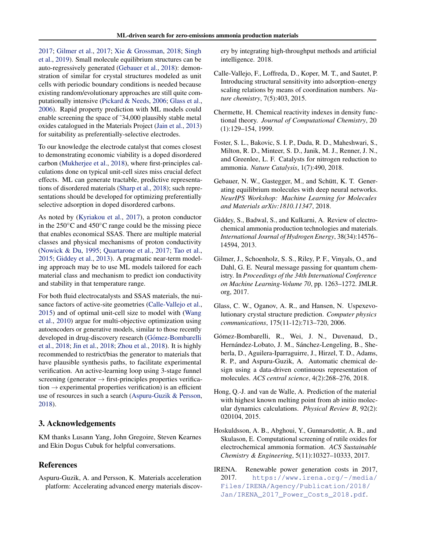<span id="page-1-0"></span>[2017;](#page-2-0) Gilmer et al., 2017; [Xie & Grossman,](#page-2-0) [2018;](#page-2-0) [Singh](#page-2-0) [et al.,](#page-2-0) [2019\)](#page-2-0). Small molecule equilibrium structures can be auto-regressively generated (Gebauer et al., 2018): demonstration of similar for crystal structures modeled as unit cells with periodic boundary conditions is needed because existing random/evolutionary approaches are still quite computationally intensive [\(Pickard & Needs,](#page-2-0) [2006;](#page-2-0) Glass et al., 2006). Rapid property prediction with ML models could enable screening the space of ˜34,000 plausibly stable metal oxides catalogued in the Materials Project [\(Jain et al.,](#page-2-0) [2013\)](#page-2-0) for suitability as preferentially-selective electrodes.

To our knowledge the electrode catalyst that comes closest to demonstrating economic viability is a doped disordered carbon [\(Mukherjee et al.,](#page-2-0) [2018\)](#page-2-0), where first-principles calculations done on typical unit-cell sizes miss crucial defect effects. ML can generate tractable, predictive representations of disordered materials [\(Sharp et al.,](#page-2-0) [2018\)](#page-2-0); such representations should be developed for optimizing preferentially selective adsorption in doped disordered carbons.

As noted by [\(Kyriakou et al.,](#page-2-0) [2017\)](#page-2-0), a proton conductor in the 250◦C and 450◦C range could be the missing piece that enables economical SSAS. There are multiple material classes and physical mechanisms of proton conductivity [\(Nowick & Du,](#page-2-0) [1995;](#page-2-0) [Quartarone et al.,](#page-2-0) [2017;](#page-2-0) [Tao et al.,](#page-2-0) [2015;](#page-2-0) Giddey et al., 2013). A pragmatic near-term modeling approach may be to use ML models tailored for each material class and mechanism to predict ion conductivity and stability in that temperature range.

For both fluid electrocatalysts and SSAS materials, the nuisance factors of active-site geometries (Calle-Vallejo et al., 2015) and of optimal unit-cell size to model with [\(Wang](#page-2-0) [et al.,](#page-2-0) [2010\)](#page-2-0) argue for multi-objective optimization using autoencoders or generative models, similar to those recently developed in drug-discovery research (Gómez-Bombarelli et al., 2018; [Jin et al.,](#page-2-0) [2018;](#page-2-0) [Zhou et al.,](#page-2-0) [2018\)](#page-2-0). It is highly recommended to restrict/bias the generator to materials that have plausible synthesis paths, to facilitate experimental verification. An active-learning loop using 3-stage funnel screening (generator  $\rightarrow$  first-principles properties verification  $\rightarrow$  experimental properties verification) is an efficient use of resources in such a search (Aspuru-Guzik & Persson, 2018).

## 3. Acknowledgements

KM thanks Lusann Yang, John Gregoire, Steven Kearnes and Ekin Dogus Cubuk for helpful conversations.

#### References

Aspuru-Guzik, A. and Persson, K. Materials acceleration platform: Accelerating advanced energy materials discovery by integrating high-throughput methods and artificial intelligence. 2018.

- Calle-Vallejo, F., Loffreda, D., Koper, M. T., and Sautet, P. Introducing structural sensitivity into adsorption–energy scaling relations by means of coordination numbers. *Nature chemistry*, 7(5):403, 2015.
- Chermette, H. Chemical reactivity indexes in density functional theory. *Journal of Computational Chemistry*, 20 (1):129–154, 1999.
- Foster, S. L., Bakovic, S. I. P., Duda, R. D., Maheshwari, S., Milton, R. D., Minteer, S. D., Janik, M. J., Renner, J. N., and Greenlee, L. F. Catalysts for nitrogen reduction to ammonia. *Nature Catalysis*, 1(7):490, 2018.
- Gebauer, N. W., Gastegger, M., and Schütt, K. T. Generating equilibrium molecules with deep neural networks. *NeurIPS Workshop: Machine Learning for Molecules and Materials arXiv:1810.11347*, 2018.
- Giddey, S., Badwal, S., and Kulkarni, A. Review of electrochemical ammonia production technologies and materials. *International Journal of Hydrogen Energy*, 38(34):14576– 14594, 2013.
- Gilmer, J., Schoenholz, S. S., Riley, P. F., Vinyals, O., and Dahl, G. E. Neural message passing for quantum chemistry. In *Proceedings of the 34th International Conference on Machine Learning-Volume 70*, pp. 1263–1272. JMLR. org, 2017.
- Glass, C. W., Oganov, A. R., and Hansen, N. Uspexevolutionary crystal structure prediction. *Computer physics communications*, 175(11-12):713–720, 2006.
- Gómez-Bombarelli, R., Wei, J. N., Duvenaud, D., Hernández-Lobato, J. M., Sánchez-Lengeling, B., Sheberla, D., Aguilera-Iparraguirre, J., Hirzel, T. D., Adams, R. P., and Aspuru-Guzik, A. Automatic chemical design using a data-driven continuous representation of molecules. *ACS central science*, 4(2):268–276, 2018.
- Hong, Q.-J. and van de Walle, A. Prediction of the material with highest known melting point from ab initio molecular dynamics calculations. *Physical Review B*, 92(2): 020104, 2015.
- Hoskuldsson, A. B., Abghoui, Y., Gunnarsdottir, A. B., and Skulason, E. Computational screening of rutile oxides for electrochemical ammonia formation. *ACS Sustainable Chemistry & Engineering*, 5(11):10327–10333, 2017.
- IRENA. Renewable power generation costs in 2017, 2017. [https://www.irena.org/-/media/](https://www.irena.org/-/media/Files/IRENA/Agency/Publication/2018/Jan/IRENA_2017_Power_Costs_2018.pdf) [Files/IRENA/Agency/Publication/2018/](https://www.irena.org/-/media/Files/IRENA/Agency/Publication/2018/Jan/IRENA_2017_Power_Costs_2018.pdf) [Jan/IRENA\\_2017\\_Power\\_Costs\\_2018.pdf](https://www.irena.org/-/media/Files/IRENA/Agency/Publication/2018/Jan/IRENA_2017_Power_Costs_2018.pdf).